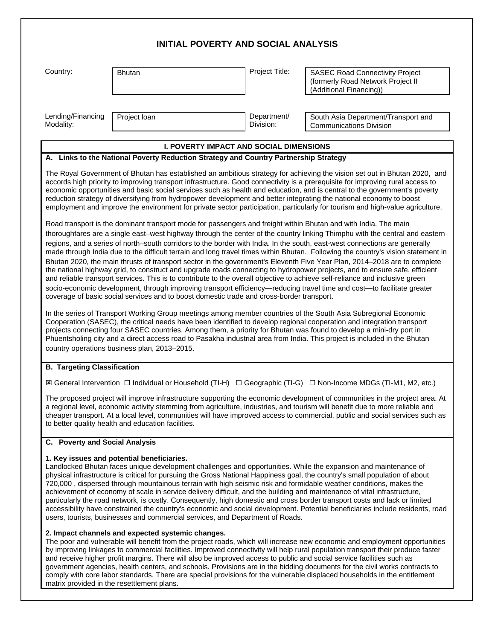|                                    |                                                                                                                                           | <b>INITIAL POVERTY AND SOCIAL ANALYSIS</b>     |                                                                                                                                                                                                                                                                                                                                                                                                                                                                                                                                                                                                                                                                                                                                                                                                                                                                                                                                                                                                                                                                                                                                                                                                                                                                                                                                                                                                                                                                                                                                                                                                                                                                                                                                                                                                                                                                                                                                                                                                                                                                                                                                                                                           |
|------------------------------------|-------------------------------------------------------------------------------------------------------------------------------------------|------------------------------------------------|-------------------------------------------------------------------------------------------------------------------------------------------------------------------------------------------------------------------------------------------------------------------------------------------------------------------------------------------------------------------------------------------------------------------------------------------------------------------------------------------------------------------------------------------------------------------------------------------------------------------------------------------------------------------------------------------------------------------------------------------------------------------------------------------------------------------------------------------------------------------------------------------------------------------------------------------------------------------------------------------------------------------------------------------------------------------------------------------------------------------------------------------------------------------------------------------------------------------------------------------------------------------------------------------------------------------------------------------------------------------------------------------------------------------------------------------------------------------------------------------------------------------------------------------------------------------------------------------------------------------------------------------------------------------------------------------------------------------------------------------------------------------------------------------------------------------------------------------------------------------------------------------------------------------------------------------------------------------------------------------------------------------------------------------------------------------------------------------------------------------------------------------------------------------------------------------|
| Country:                           | <b>Bhutan</b>                                                                                                                             | Project Title:                                 | <b>SASEC Road Connectivity Project</b><br>(formerly Road Network Project II<br>(Additional Financing))                                                                                                                                                                                                                                                                                                                                                                                                                                                                                                                                                                                                                                                                                                                                                                                                                                                                                                                                                                                                                                                                                                                                                                                                                                                                                                                                                                                                                                                                                                                                                                                                                                                                                                                                                                                                                                                                                                                                                                                                                                                                                    |
| Lending/Financing<br>Modality:     | Project loan                                                                                                                              | Department/<br>Division:                       | South Asia Department/Transport and<br><b>Communications Division</b>                                                                                                                                                                                                                                                                                                                                                                                                                                                                                                                                                                                                                                                                                                                                                                                                                                                                                                                                                                                                                                                                                                                                                                                                                                                                                                                                                                                                                                                                                                                                                                                                                                                                                                                                                                                                                                                                                                                                                                                                                                                                                                                     |
|                                    |                                                                                                                                           | <b>I. POVERTY IMPACT AND SOCIAL DIMENSIONS</b> |                                                                                                                                                                                                                                                                                                                                                                                                                                                                                                                                                                                                                                                                                                                                                                                                                                                                                                                                                                                                                                                                                                                                                                                                                                                                                                                                                                                                                                                                                                                                                                                                                                                                                                                                                                                                                                                                                                                                                                                                                                                                                                                                                                                           |
|                                    | A. Links to the National Poverty Reduction Strategy and Country Partnership Strategy                                                      |                                                |                                                                                                                                                                                                                                                                                                                                                                                                                                                                                                                                                                                                                                                                                                                                                                                                                                                                                                                                                                                                                                                                                                                                                                                                                                                                                                                                                                                                                                                                                                                                                                                                                                                                                                                                                                                                                                                                                                                                                                                                                                                                                                                                                                                           |
|                                    | coverage of basic social services and to boost domestic trade and cross-border transport.<br>country operations business plan, 2013-2015. |                                                | The Royal Government of Bhutan has established an ambitious strategy for achieving the vision set out in Bhutan 2020, and<br>accords high priority to improving transport infrastructure. Good connectivity is a prerequisite for improving rural access to<br>economic opportunities and basic social services such as health and education, and is central to the government's poverty<br>reduction strategy of diversifying from hydropower development and better integrating the national economy to boost<br>employment and improve the environment for private sector participation, particularly for tourism and high-value agriculture.<br>Road transport is the dominant transport mode for passengers and freight within Bhutan and with India. The main<br>thoroughfares are a single east-west highway through the center of the country linking Thimphu with the central and eastern<br>regions, and a series of north-south corridors to the border with India. In the south, east-west connections are generally<br>made through India due to the difficult terrain and long travel times within Bhutan. Following the country's vision statement in<br>Bhutan 2020, the main thrusts of transport sector in the government's Eleventh Five Year Plan, 2014–2018 are to complete<br>the national highway grid, to construct and upgrade roads connecting to hydropower projects, and to ensure safe, efficient<br>and reliable transport services. This is to contribute to the overall objective to achieve self-reliance and inclusive green<br>socio-economic development, through improving transport efficiency—reducing travel time and cost—to facilitate greater<br>In the series of Transport Working Group meetings among member countries of the South Asia Subregional Economic<br>Cooperation (SASEC), the critical needs have been identified to develop regional cooperation and integration transport<br>projects connecting four SASEC countries. Among them, a priority for Bhutan was found to develop a mini-dry port in<br>Phuentsholing city and a direct access road to Pasakha industrial area from India. This project is included in the Bhutan |
| <b>B. Targeting Classification</b> |                                                                                                                                           |                                                |                                                                                                                                                                                                                                                                                                                                                                                                                                                                                                                                                                                                                                                                                                                                                                                                                                                                                                                                                                                                                                                                                                                                                                                                                                                                                                                                                                                                                                                                                                                                                                                                                                                                                                                                                                                                                                                                                                                                                                                                                                                                                                                                                                                           |
|                                    |                                                                                                                                           |                                                | IS General Intervention □ Individual or Household (TI-H) □ Geographic (TI-G) □ Non-Income MDGs (TI-M1, M2, etc.)                                                                                                                                                                                                                                                                                                                                                                                                                                                                                                                                                                                                                                                                                                                                                                                                                                                                                                                                                                                                                                                                                                                                                                                                                                                                                                                                                                                                                                                                                                                                                                                                                                                                                                                                                                                                                                                                                                                                                                                                                                                                          |
|                                    | to better quality health and education facilities.                                                                                        |                                                | The proposed project will improve infrastructure supporting the economic development of communities in the project area. At<br>a regional level, economic activity stemming from agriculture, industries, and tourism will benefit due to more reliable and<br>cheaper transport. At a local level, communities will have improved access to commercial, public and social services such as                                                                                                                                                                                                                                                                                                                                                                                                                                                                                                                                                                                                                                                                                                                                                                                                                                                                                                                                                                                                                                                                                                                                                                                                                                                                                                                                                                                                                                                                                                                                                                                                                                                                                                                                                                                               |
| C. Poverty and Social Analysis     |                                                                                                                                           |                                                |                                                                                                                                                                                                                                                                                                                                                                                                                                                                                                                                                                                                                                                                                                                                                                                                                                                                                                                                                                                                                                                                                                                                                                                                                                                                                                                                                                                                                                                                                                                                                                                                                                                                                                                                                                                                                                                                                                                                                                                                                                                                                                                                                                                           |
|                                    | 1. Key issues and potential beneficiaries.<br>users, tourists, businesses and commercial services, and Department of Roads.               |                                                | Landlocked Bhutan faces unique development challenges and opportunities. While the expansion and maintenance of<br>physical infrastructure is critical for pursuing the Gross National Happiness goal, the country's small population of about<br>720,000, dispersed through mountainous terrain with high seismic risk and formidable weather conditions, makes the<br>achievement of economy of scale in service delivery difficult, and the building and maintenance of vital infrastructure,<br>particularly the road network, is costly. Consequently, high domestic and cross border transport costs and lack or limited<br>accessibility have constrained the country's economic and social development. Potential beneficiaries include residents, road                                                                                                                                                                                                                                                                                                                                                                                                                                                                                                                                                                                                                                                                                                                                                                                                                                                                                                                                                                                                                                                                                                                                                                                                                                                                                                                                                                                                                           |
|                                    | 2. Impact channels and expected systemic changes.                                                                                         |                                                | The poor and vulnerable will benefit from the project roads, which will increase new economic and employment opportunities<br>by improving linkages to commercial facilities. Improved connectivity will help rural population transport their produce faster<br>and receive higher profit margins. There will also be improved access to public and social service facilities such as<br>government agencies, health centers, and schools. Provisions are in the bidding documents for the civil works contracts to                                                                                                                                                                                                                                                                                                                                                                                                                                                                                                                                                                                                                                                                                                                                                                                                                                                                                                                                                                                                                                                                                                                                                                                                                                                                                                                                                                                                                                                                                                                                                                                                                                                                      |

comply with core labor standards. There are special provisions for the vulnerable displaced households in the entitlement matrix provided in the resettlement plans.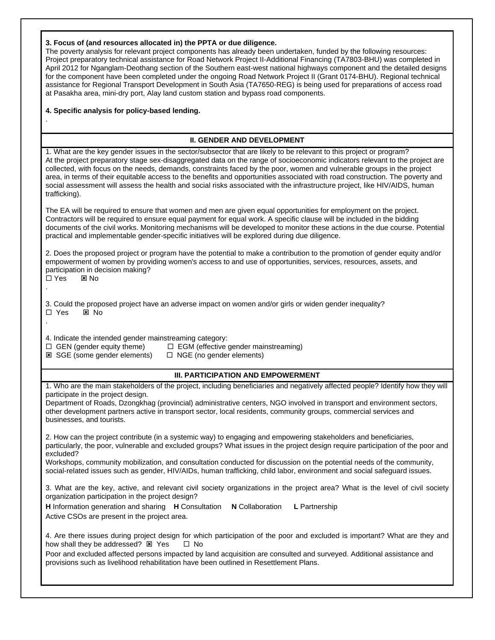|  |  |  | 3. Focus of (and resources allocated in) the PPTA or due diligence. |
|--|--|--|---------------------------------------------------------------------|
|--|--|--|---------------------------------------------------------------------|

The poverty analysis for relevant project components has already been undertaken, funded by the following resources: Project preparatory technical assistance for Road Network Project II-Additional Financing (TA7803-BHU) was completed in April 2012 for Nganglam-Deothang section of the Southern east-west national highways component and the detailed designs for the component have been completed under the ongoing Road Network Project II (Grant 0174-BHU). Regional technical assistance for Regional Transport Development in South Asia (TA7650-REG) is being used for preparations of access road at Pasakha area, mini-dry port, Alay land custom station and bypass road components.

## **4. Specific analysis for policy-based lending.**

## **II. GENDER AND DEVELOPMENT**

1. What are the key gender issues in the sector/subsector that are likely to be relevant to this project or program? At the project preparatory stage sex-disaggregated data on the range of socioeconomic indicators relevant to the project are collected, with focus on the needs, demands, constraints faced by the poor, women and vulnerable groups in the project area, in terms of their equitable access to the benefits and opportunities associated with road construction. The poverty and social assessment will assess the health and social risks associated with the infrastructure project, like HIV/AIDS, human trafficking).

The EA will be required to ensure that women and men are given equal opportunities for employment on the project. Contractors will be required to ensure equal payment for equal work. A specific clause will be included in the bidding documents of the civil works. Monitoring mechanisms will be developed to monitor these actions in the due course. Potential practical and implementable gender-specific initiatives will be explored during due diligence.

2. Does the proposed project or program have the potential to make a contribution to the promotion of gender equity and/or empowerment of women by providing women's access to and use of opportunities, services, resources, assets, and participation in decision making?

 $\square$  Yes  $\square$  No .

.

.

3. Could the proposed project have an adverse impact on women and/or girls or widen gender inequality? □ Yes ⊠ No

4. Indicate the intended gender mainstreaming category:<br> $\Box$  GEN (gender equity theme)  $\Box$  EGM (effective)

**⊠** SGE (some gender elements)

 $\square$  EGM (effective gender mainstreaming)<br> $\square$  NGE (no gender elements)

## **III. PARTICIPATION AND EMPOWERMENT**

1. Who are the main stakeholders of the project, including beneficiaries and negatively affected people? Identify how they will participate in the project design.

Department of Roads, Dzongkhag (provincial) administrative centers, NGO involved in transport and environment sectors, other development partners active in transport sector, local residents, community groups, commercial services and businesses, and tourists.

2. How can the project contribute (in a systemic way) to engaging and empowering stakeholders and beneficiaries, particularly, the poor, vulnerable and excluded groups? What issues in the project design require participation of the poor and excluded?

Workshops, community mobilization, and consultation conducted for discussion on the potential needs of the community, social-related issues such as gender, HIV/AIDs, human trafficking, child labor, environment and social safeguard issues.

3. What are the key, active, and relevant civil society organizations in the project area? What is the level of civil society organization participation in the project design?

**H** Information generation and sharing **H** Consultation **N** Collaboration **L** Partnership Active CSOs are present in the project area.

4. Are there issues during project design for which participation of the poor and excluded is important? What are they and how shall they be addressed?  $\boxtimes$  Yes  $\Box$  No

Poor and excluded affected persons impacted by land acquisition are consulted and surveyed. Additional assistance and provisions such as livelihood rehabilitation have been outlined in Resettlement Plans.